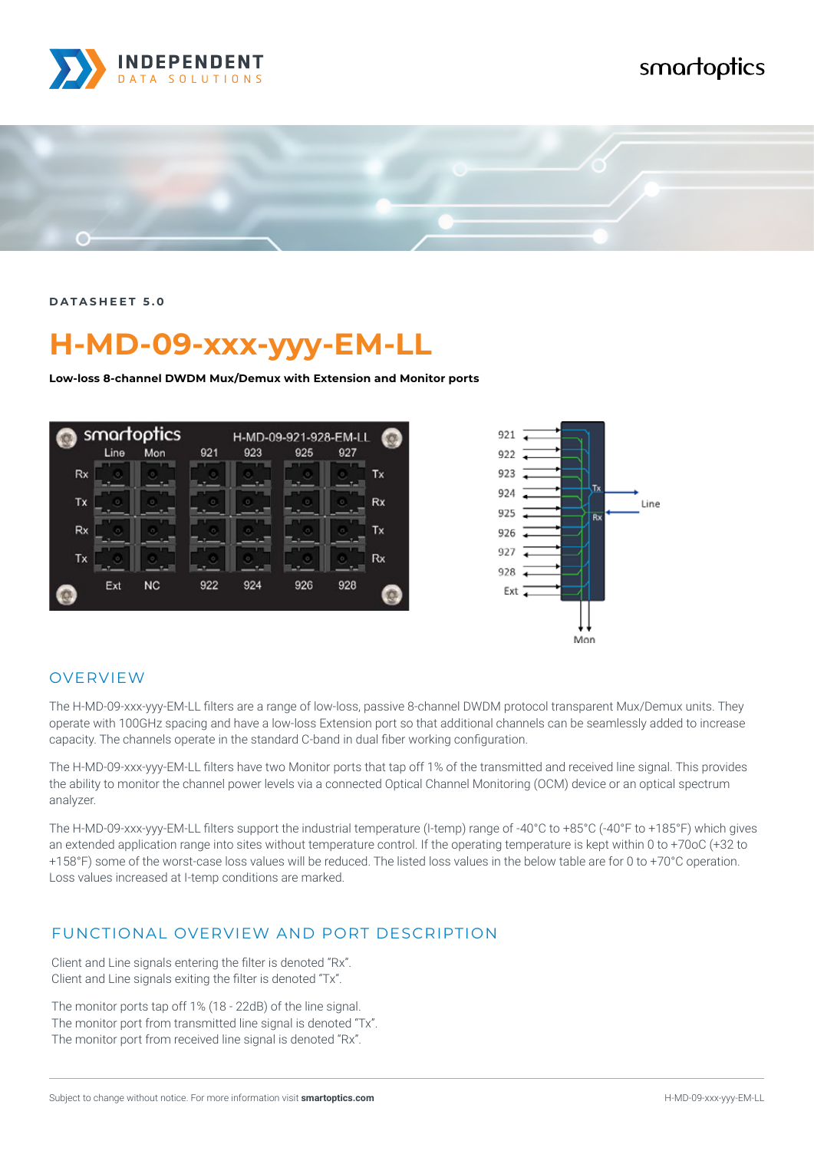

## smartoptics



**DATASHEET 5.0**

# **H-MD-09-xxx-yyy-EM-LL**

**Low-loss 8-channel DWDM Mux/Demux with Extension and Monitor ports**



#### OVERVIEW

The H-MD-09-xxx-yyy-EM-LL filters are a range of low-loss, passive 8-channel DWDM protocol transparent Mux/Demux units. They operate with 100GHz spacing and have a low-loss Extension port so that additional channels can be seamlessly added to increase capacity. The channels operate in the standard C-band in dual fiber working configuration.

The H-MD-09-xxx-yyy-EM-LL filters have two Monitor ports that tap off 1% of the transmitted and received line signal. This provides the ability to monitor the channel power levels via a connected Optical Channel Monitoring (OCM) device or an optical spectrum analyzer.

The H-MD-09-xxx-yyy-EM-LL filters support the industrial temperature (I-temp) range of -40°C to +85°C (-40°F to +185°F) which gives an extended application range into sites without temperature control. If the operating temperature is kept within 0 to +70oC (+32 to +158°F) some of the worst-case loss values will be reduced. The listed loss values in the below table are for 0 to +70°C operation. Loss values increased at I-temp conditions are marked.

#### FUNCTIONAL OVERVIEW AND PORT DESCRIPTION

Client and Line signals entering the filter is denoted "Rx". Client and Line signals exiting the filter is denoted "Tx".

The monitor ports tap off 1% (18 - 22dB) of the line signal. The monitor port from transmitted line signal is denoted "Tx". The monitor port from received line signal is denoted "Rx".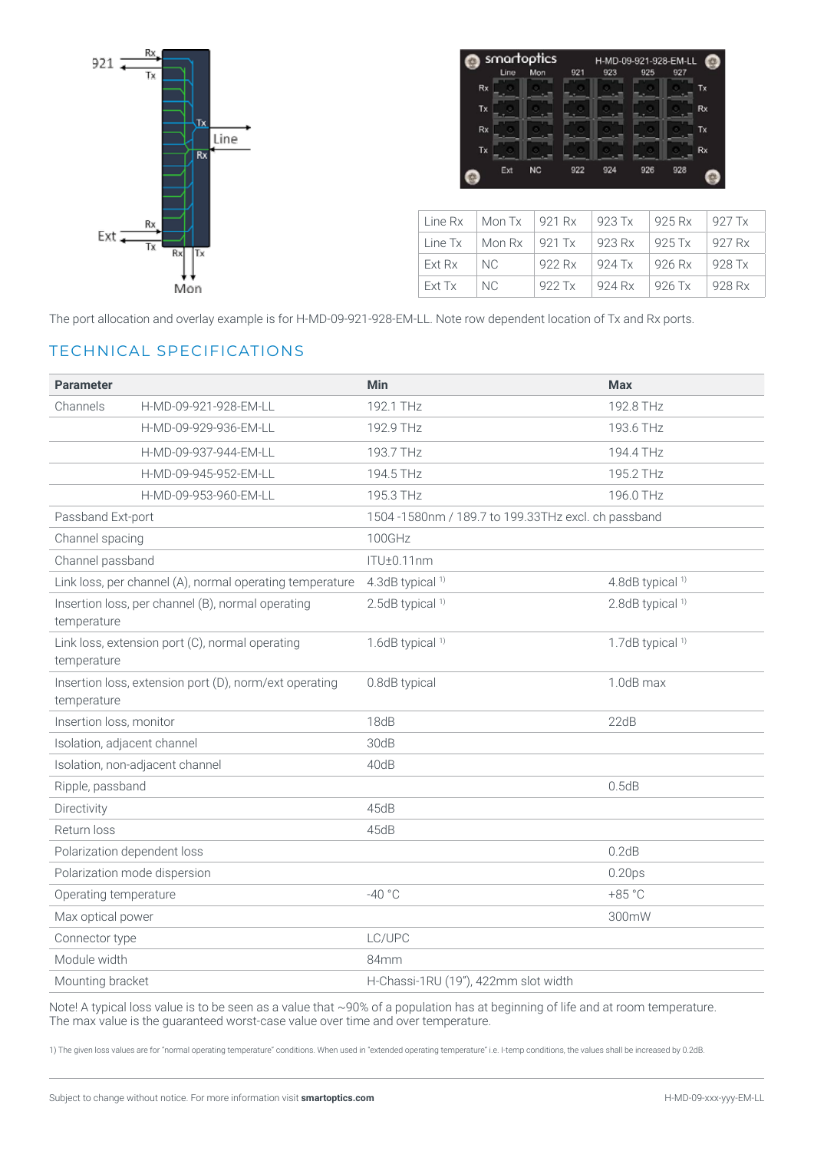

| smartoptics |      |           |     | H-MD-09-921-928-EM-LL |     |     |    |
|-------------|------|-----------|-----|-----------------------|-----|-----|----|
|             | Line | Mon       | 921 | 923                   | 925 | 927 |    |
| Rx          |      |           |     |                       |     |     | Tx |
| Tx          |      |           |     |                       |     |     | Rx |
| Rx          |      |           |     |                       |     |     | Tx |
| Tx          |      |           |     |                       |     |     | Rx |
|             | Ext  | <b>NC</b> | 922 | 924                   | 926 | 928 |    |

|        | Line Rx $\parallel$ Mon Tx $\parallel$ 921 Rx $\parallel$ 923 Tx |        |          | 925 Rx          | $\frac{927}{1}$  |
|--------|------------------------------------------------------------------|--------|----------|-----------------|------------------|
|        | Line Tx $\parallel$ Mon Rx $\parallel$ 921 Tx $\parallel$ 923 Rx |        |          | $\sqrt{925}$ Tx | 927 Rx           |
| Ext Rx | I NC.                                                            | 922 Rx | $924$ Tx | 926 Rx          | $\frac{928}{10}$ |
| Ext Tx | NC.                                                              | 922 Tx | 924 Rx   | $926$ Tx        | 928 Rx           |

The port allocation and overlay example is for H-MD-09-921-928-EM-LL. Note row dependent location of Tx and Rx ports.

### TECHNICAL SPECIFICATIONS

| <b>Parameter</b>                                                      |                                                          | <b>Min</b>                                          | <b>Max</b>                  |  |  |
|-----------------------------------------------------------------------|----------------------------------------------------------|-----------------------------------------------------|-----------------------------|--|--|
| Channels                                                              | H-MD-09-921-928-EM-LL                                    | 192.1 THz                                           | 192.8 THz                   |  |  |
|                                                                       | H-MD-09-929-936-EM-LL                                    | 192.9 THz                                           | 193.6 THz                   |  |  |
|                                                                       | H-MD-09-937-944-EM-LL                                    | 193.7 THz                                           | 194.4 THz                   |  |  |
|                                                                       | H-MD-09-945-952-EM-LL                                    | 194.5 THz                                           | 195.2 THz                   |  |  |
|                                                                       | H-MD-09-953-960-EM-LL                                    | 195.3 THz                                           | 196.0 THz                   |  |  |
| Passband Ext-port                                                     |                                                          | 1504 -1580nm / 189.7 to 199.33THz excl. ch passband |                             |  |  |
| Channel spacing                                                       |                                                          | 100GHz                                              |                             |  |  |
| Channel passband                                                      |                                                          | ITU±0.11nm                                          |                             |  |  |
|                                                                       | Link loss, per channel (A), normal operating temperature | 4.3dB typical <sup>1)</sup>                         | 4.8dB typical <sup>1)</sup> |  |  |
| Insertion loss, per channel (B), normal operating<br>temperature      |                                                          | 2.5dB typical <sup>1)</sup>                         | 2.8dB typical <sup>1)</sup> |  |  |
| temperature                                                           | Link loss, extension port (C), normal operating          | 1.6dB typical <sup>1)</sup>                         | 1.7dB typical <sup>1)</sup> |  |  |
| Insertion loss, extension port (D), norm/ext operating<br>temperature |                                                          | 0.8dB typical                                       | 1.0dB max                   |  |  |
| Insertion loss, monitor                                               |                                                          | 18dB                                                | 22dB                        |  |  |
| Isolation, adjacent channel                                           |                                                          | 30dB                                                |                             |  |  |
|                                                                       | Isolation, non-adjacent channel                          | 40dB                                                |                             |  |  |
| Ripple, passband                                                      |                                                          |                                                     | 0.5dB                       |  |  |
| Directivity                                                           |                                                          | 45dB                                                |                             |  |  |
| Return loss                                                           |                                                          | 45dB                                                |                             |  |  |
| Polarization dependent loss                                           |                                                          |                                                     | 0.2dB                       |  |  |
|                                                                       | Polarization mode dispersion                             |                                                     | 0.20 <sub>ps</sub>          |  |  |
| Operating temperature                                                 |                                                          | $-40 °C$                                            | $+85 °C$                    |  |  |
| Max optical power                                                     |                                                          |                                                     | 300mW                       |  |  |
| Connector type                                                        |                                                          | LC/UPC                                              |                             |  |  |
| Module width                                                          |                                                          | 84mm                                                |                             |  |  |
| Mounting bracket                                                      |                                                          | H-Chassi-1RU (19"), 422mm slot width                |                             |  |  |

Note! A typical loss value is to be seen as a value that ~90% of a population has at beginning of life and at room temperature. The max value is the guaranteed worst-case value over time and over temperature.

1) The given loss values are for "normal operating temperature" conditions. When used in "extended operating temperature" i.e. I-temp conditions, the values shall be increased by 0.2dB.